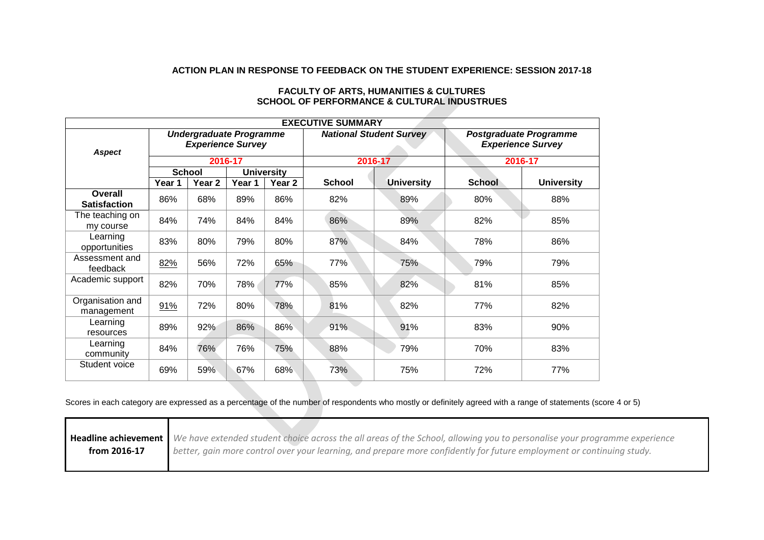## **ACTION PLAN IN RESPONSE TO FEEDBACK ON THE STUDENT EXPERIENCE: SESSION 2017-18**

| <b>EXECUTIVE SUMMARY</b>       |                                                                       |        |                   |                                |               |                                                           |               |                   |
|--------------------------------|-----------------------------------------------------------------------|--------|-------------------|--------------------------------|---------------|-----------------------------------------------------------|---------------|-------------------|
| <b>Aspect</b>                  | <b>Undergraduate Programme</b><br><b>Experience Survey</b><br>2016-17 |        |                   | <b>National Student Survey</b> |               | <b>Postgraduate Programme</b><br><b>Experience Survey</b> |               |                   |
|                                |                                                                       |        |                   | 2016-17                        |               | 2016-17                                                   |               |                   |
|                                | <b>School</b>                                                         |        | <b>University</b> |                                |               |                                                           |               |                   |
|                                | Year 1                                                                | Year 2 | Year 1            | Year 2                         | <b>School</b> | <b>University</b>                                         | <b>School</b> | <b>University</b> |
| Overall<br><b>Satisfaction</b> | 86%                                                                   | 68%    | 89%               | 86%                            | 82%           | 89%                                                       | 80%           | 88%               |
| The teaching on<br>my course   | 84%                                                                   | 74%    | 84%               | 84%                            | 86%           | 89%                                                       | 82%           | 85%               |
| Learning<br>opportunities      | 83%                                                                   | 80%    | 79%               | 80%                            | 87%           | 84%                                                       | 78%           | 86%               |
| Assessment and<br>feedback     | 82%                                                                   | 56%    | 72%               | 65%                            | 77%           | 75%                                                       | 79%           | 79%               |
| Academic support               | 82%                                                                   | 70%    | 78%               | 77%                            | 85%           | 82%                                                       | 81%           | 85%               |
| Organisation and<br>management | 91%                                                                   | 72%    | 80%               | 78%                            | 81%           | 82%                                                       | 77%           | 82%               |
| Learning<br>resources          | 89%                                                                   | 92%    | 86%               | 86%                            | 91%           | 91%                                                       | 83%           | 90%               |
| Learning<br>community          | 84%                                                                   | 76%    | 76%               | 75%                            | 88%           | 79%                                                       | 70%           | 83%               |
| Student voice                  | 69%                                                                   | 59%    | 67%               | 68%                            | 73%           | 75%                                                       | 72%           | 77%               |

## **FACULTY OF ARTS, HUMANITIES & CULTURES SCHOOL OF PERFORMANCE & CULTURAL INDUSTRUES**

Scores in each category are expressed as a percentage of the number of respondents who mostly or definitely agreed with a range of statements (score 4 or 5)

|              | Headline achievement   We have extended student choice across the all areas of the School, allowing you to personalise your programme experience |
|--------------|--------------------------------------------------------------------------------------------------------------------------------------------------|
| from 2016-17 | better, gain more control over your learning, and prepare more confidently for future employment or continuing study.                            |
|              |                                                                                                                                                  |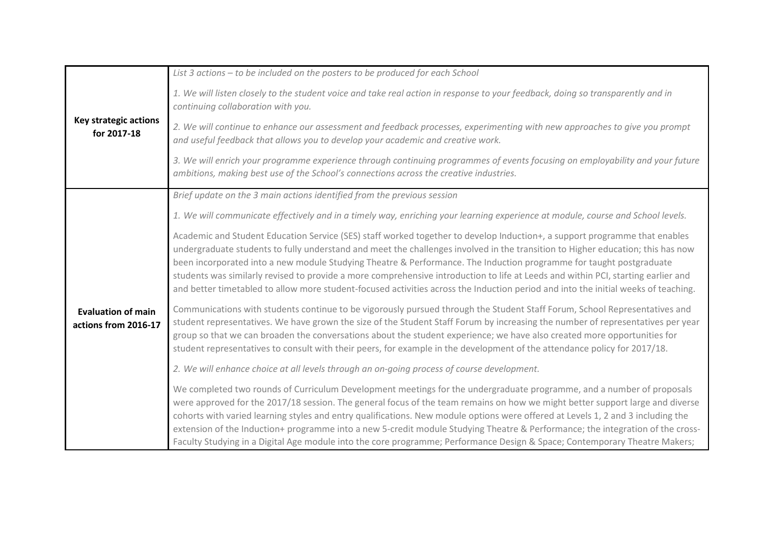| <b>Key strategic actions</b><br>for 2017-18       | List 3 actions - to be included on the posters to be produced for each School                                                                                                                                                                                                                                                                                                                                                                                                                                                                                                                                                                                   |  |  |  |  |
|---------------------------------------------------|-----------------------------------------------------------------------------------------------------------------------------------------------------------------------------------------------------------------------------------------------------------------------------------------------------------------------------------------------------------------------------------------------------------------------------------------------------------------------------------------------------------------------------------------------------------------------------------------------------------------------------------------------------------------|--|--|--|--|
|                                                   | 1. We will listen closely to the student voice and take real action in response to your feedback, doing so transparently and in<br>continuing collaboration with you.                                                                                                                                                                                                                                                                                                                                                                                                                                                                                           |  |  |  |  |
|                                                   | 2. We will continue to enhance our assessment and feedback processes, experimenting with new approaches to give you prompt<br>and useful feedback that allows you to develop your academic and creative work.                                                                                                                                                                                                                                                                                                                                                                                                                                                   |  |  |  |  |
|                                                   | 3. We will enrich your programme experience through continuing programmes of events focusing on employability and your future<br>ambitions, making best use of the School's connections across the creative industries.                                                                                                                                                                                                                                                                                                                                                                                                                                         |  |  |  |  |
|                                                   | Brief update on the 3 main actions identified from the previous session                                                                                                                                                                                                                                                                                                                                                                                                                                                                                                                                                                                         |  |  |  |  |
|                                                   | 1. We will communicate effectively and in a timely way, enriching your learning experience at module, course and School levels.                                                                                                                                                                                                                                                                                                                                                                                                                                                                                                                                 |  |  |  |  |
|                                                   | Academic and Student Education Service (SES) staff worked together to develop Induction+, a support programme that enables<br>undergraduate students to fully understand and meet the challenges involved in the transition to Higher education; this has now<br>been incorporated into a new module Studying Theatre & Performance. The Induction programme for taught postgraduate<br>students was similarly revised to provide a more comprehensive introduction to life at Leeds and within PCI, starting earlier and<br>and better timetabled to allow more student-focused activities across the Induction period and into the initial weeks of teaching. |  |  |  |  |
| <b>Evaluation of main</b><br>actions from 2016-17 | Communications with students continue to be vigorously pursued through the Student Staff Forum, School Representatives and<br>student representatives. We have grown the size of the Student Staff Forum by increasing the number of representatives per year<br>group so that we can broaden the conversations about the student experience; we have also created more opportunities for<br>student representatives to consult with their peers, for example in the development of the attendance policy for 2017/18.                                                                                                                                          |  |  |  |  |
|                                                   | 2. We will enhance choice at all levels through an on-going process of course development.                                                                                                                                                                                                                                                                                                                                                                                                                                                                                                                                                                      |  |  |  |  |
|                                                   | We completed two rounds of Curriculum Development meetings for the undergraduate programme, and a number of proposals<br>were approved for the 2017/18 session. The general focus of the team remains on how we might better support large and diverse<br>cohorts with varied learning styles and entry qualifications. New module options were offered at Levels 1, 2 and 3 including the<br>extension of the Induction+ programme into a new 5-credit module Studying Theatre & Performance; the integration of the cross-<br>Faculty Studying in a Digital Age module into the core programme; Performance Design & Space; Contemporary Theatre Makers;      |  |  |  |  |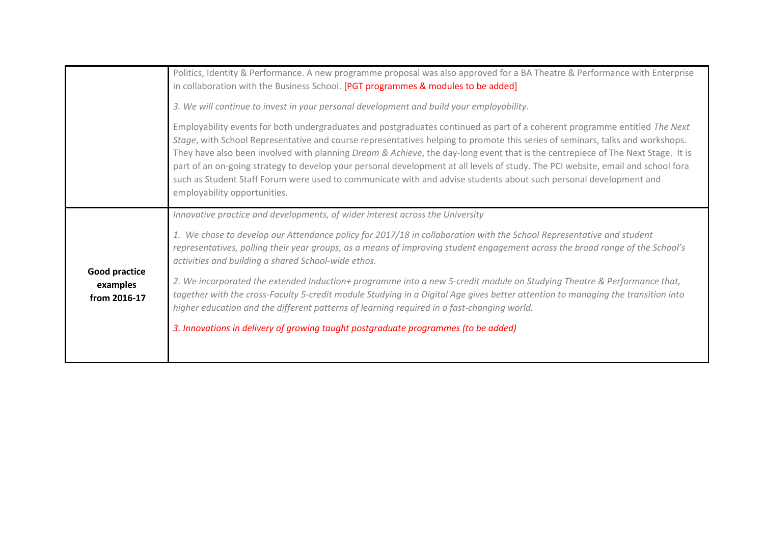|                                                  | Politics, Identity & Performance. A new programme proposal was also approved for a BA Theatre & Performance with Enterprise<br>in collaboration with the Business School. [PGT programmes & modules to be added]                                                                                                                                                                                                                                                                                                                                                                                                                                                                        |
|--------------------------------------------------|-----------------------------------------------------------------------------------------------------------------------------------------------------------------------------------------------------------------------------------------------------------------------------------------------------------------------------------------------------------------------------------------------------------------------------------------------------------------------------------------------------------------------------------------------------------------------------------------------------------------------------------------------------------------------------------------|
|                                                  | 3. We will continue to invest in your personal development and build your employability.                                                                                                                                                                                                                                                                                                                                                                                                                                                                                                                                                                                                |
|                                                  | Employability events for both undergraduates and postgraduates continued as part of a coherent programme entitled The Next<br>Stage, with School Representative and course representatives helping to promote this series of seminars, talks and workshops.<br>They have also been involved with planning Dream & Achieve, the day-long event that is the centrepiece of The Next Stage. It is<br>part of an on-going strategy to develop your personal development at all levels of study. The PCI website, email and school fora<br>such as Student Staff Forum were used to communicate with and advise students about such personal development and<br>employability opportunities. |
|                                                  | Innovative practice and developments, of wider interest across the University                                                                                                                                                                                                                                                                                                                                                                                                                                                                                                                                                                                                           |
| <b>Good practice</b><br>examples<br>from 2016-17 | 1. We chose to develop our Attendance policy for 2017/18 in collaboration with the School Representative and student<br>representatives, polling their year groups, as a means of improving student engagement across the broad range of the School's<br>activities and building a shared School-wide ethos.                                                                                                                                                                                                                                                                                                                                                                            |
|                                                  | 2. We incorporated the extended Induction+ programme into a new 5-credit module on Studying Theatre & Performance that,<br>together with the cross-Faculty 5-credit module Studying in a Digital Age gives better attention to managing the transition into<br>higher education and the different patterns of learning required in a fast-changing world.                                                                                                                                                                                                                                                                                                                               |
|                                                  | 3. Innovations in delivery of growing taught postgraduate programmes (to be added)                                                                                                                                                                                                                                                                                                                                                                                                                                                                                                                                                                                                      |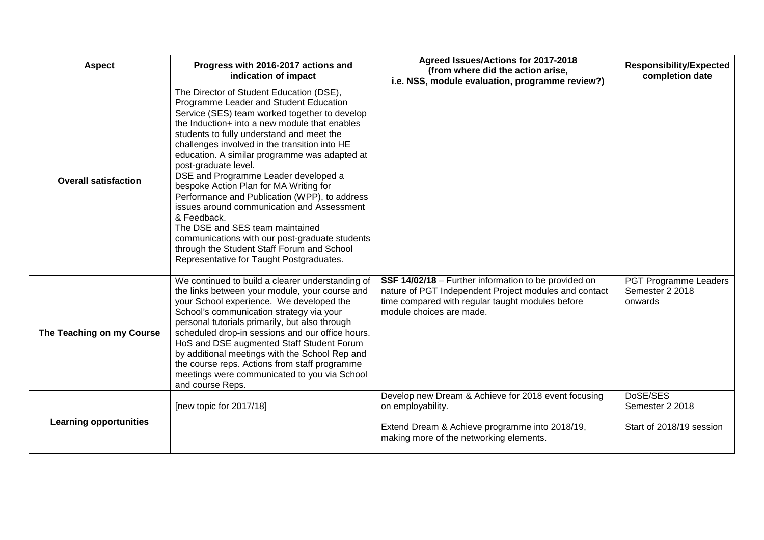| <b>Aspect</b>                 | Progress with 2016-2017 actions and<br>indication of impact                                                                                                                                                                                                                                                                                                                                                                                                                                                                                                                                                                                                                                                                                | Agreed Issues/Actions for 2017-2018<br>(from where did the action arise,<br>i.e. NSS, module evaluation, programme review?)                                                                   | <b>Responsibility/Expected</b><br>completion date       |
|-------------------------------|--------------------------------------------------------------------------------------------------------------------------------------------------------------------------------------------------------------------------------------------------------------------------------------------------------------------------------------------------------------------------------------------------------------------------------------------------------------------------------------------------------------------------------------------------------------------------------------------------------------------------------------------------------------------------------------------------------------------------------------------|-----------------------------------------------------------------------------------------------------------------------------------------------------------------------------------------------|---------------------------------------------------------|
| <b>Overall satisfaction</b>   | The Director of Student Education (DSE),<br>Programme Leader and Student Education<br>Service (SES) team worked together to develop<br>the Induction+ into a new module that enables<br>students to fully understand and meet the<br>challenges involved in the transition into HE<br>education. A similar programme was adapted at<br>post-graduate level.<br>DSE and Programme Leader developed a<br>bespoke Action Plan for MA Writing for<br>Performance and Publication (WPP), to address<br>issues around communication and Assessment<br>& Feedback.<br>The DSE and SES team maintained<br>communications with our post-graduate students<br>through the Student Staff Forum and School<br>Representative for Taught Postgraduates. |                                                                                                                                                                                               |                                                         |
| The Teaching on my Course     | We continued to build a clearer understanding of<br>the links between your module, your course and<br>your School experience. We developed the<br>School's communication strategy via your<br>personal tutorials primarily, but also through<br>scheduled drop-in sessions and our office hours.<br>HoS and DSE augmented Staff Student Forum<br>by additional meetings with the School Rep and<br>the course reps. Actions from staff programme<br>meetings were communicated to you via School<br>and course Reps.                                                                                                                                                                                                                       | SSF 14/02/18 - Further information to be provided on<br>nature of PGT Independent Project modules and contact<br>time compared with regular taught modules before<br>module choices are made. | PGT Programme Leaders<br>Semester 2 2018<br>onwards     |
| <b>Learning opportunities</b> | [new topic for 2017/18]                                                                                                                                                                                                                                                                                                                                                                                                                                                                                                                                                                                                                                                                                                                    | Develop new Dream & Achieve for 2018 event focusing<br>on employability.<br>Extend Dream & Achieve programme into 2018/19,<br>making more of the networking elements.                         | DoSE/SES<br>Semester 2 2018<br>Start of 2018/19 session |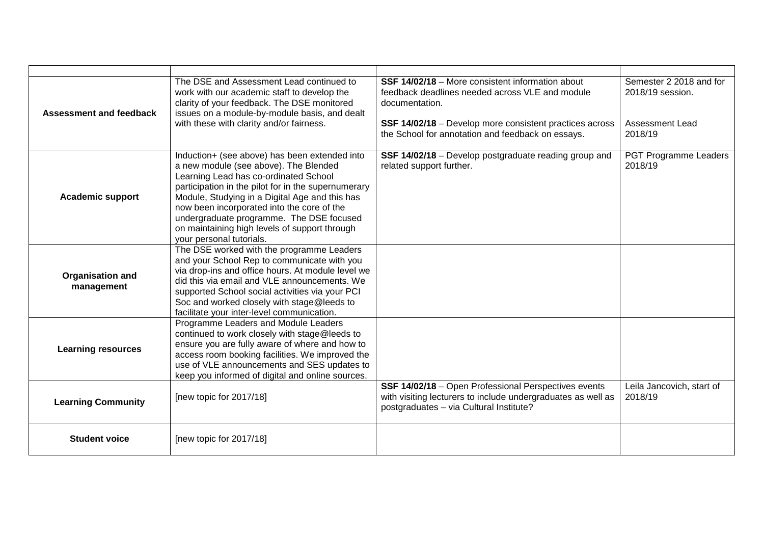| <b>Assessment and feedback</b> | The DSE and Assessment Lead continued to<br>work with our academic staff to develop the<br>clarity of your feedback. The DSE monitored<br>issues on a module-by-module basis, and dealt<br>with these with clarity and/or fairness.                                                                                                                                                                             | <b>SSF 14/02/18</b> – More consistent information about<br>feedback deadlines needed across VLE and module<br>documentation.<br>SSF 14/02/18 - Develop more consistent practices across<br>the School for annotation and feedback on essays. | Semester 2 2018 and for<br>2018/19 session.<br><b>Assessment Lead</b><br>2018/19 |
|--------------------------------|-----------------------------------------------------------------------------------------------------------------------------------------------------------------------------------------------------------------------------------------------------------------------------------------------------------------------------------------------------------------------------------------------------------------|----------------------------------------------------------------------------------------------------------------------------------------------------------------------------------------------------------------------------------------------|----------------------------------------------------------------------------------|
| <b>Academic support</b>        | Induction+ (see above) has been extended into<br>a new module (see above). The Blended<br>Learning Lead has co-ordinated School<br>participation in the pilot for in the supernumerary<br>Module, Studying in a Digital Age and this has<br>now been incorporated into the core of the<br>undergraduate programme. The DSE focused<br>on maintaining high levels of support through<br>your personal tutorials. | SSF 14/02/18 - Develop postgraduate reading group and<br>related support further.                                                                                                                                                            | PGT Programme Leaders<br>2018/19                                                 |
| Organisation and<br>management | The DSE worked with the programme Leaders<br>and your School Rep to communicate with you<br>via drop-ins and office hours. At module level we<br>did this via email and VLE announcements. We<br>supported School social activities via your PCI<br>Soc and worked closely with stage@leeds to<br>facilitate your inter-level communication.                                                                    |                                                                                                                                                                                                                                              |                                                                                  |
| <b>Learning resources</b>      | Programme Leaders and Module Leaders<br>continued to work closely with stage@leeds to<br>ensure you are fully aware of where and how to<br>access room booking facilities. We improved the<br>use of VLE announcements and SES updates to<br>keep you informed of digital and online sources.                                                                                                                   |                                                                                                                                                                                                                                              |                                                                                  |
| <b>Learning Community</b>      | [new topic for 2017/18]                                                                                                                                                                                                                                                                                                                                                                                         | SSF 14/02/18 - Open Professional Perspectives events<br>with visiting lecturers to include undergraduates as well as<br>postgraduates - via Cultural Institute?                                                                              | Leila Jancovich, start of<br>2018/19                                             |
| <b>Student voice</b>           | [new topic for 2017/18]                                                                                                                                                                                                                                                                                                                                                                                         |                                                                                                                                                                                                                                              |                                                                                  |